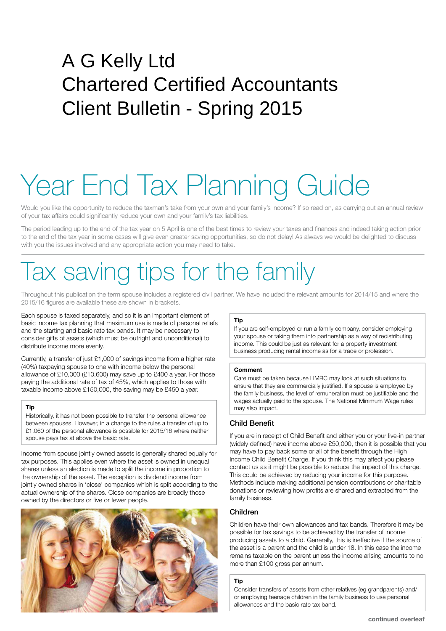### A G Kelly Ltd Chartered Certified Accountants Client Bulletin - Spring 2015

# Year End Tax Planning Guide

Would you like the opportunity to reduce the taxman's take from your own and your family's income? If so read on, as carrying out an annual review of your tax affairs could significantly reduce your own and your family's tax liabilities.

The period leading up to the end of the tax year on 5 April is one of the best times to review your taxes and finances and indeed taking action prior to the end of the tax year in some cases will give even greater saving opportunities, so do not delay! As always we would be delighted to discuss with you the issues involved and any appropriate action you may need to take.

### Tax saving tips for the family

Throughout this publication the term spouse includes a registered civil partner. We have included the relevant amounts for 2014/15 and where the 2015/16 figures are available these are shown in brackets.

Each spouse is taxed separately, and so it is an important element of basic income tax planning that maximum use is made of personal reliefs and the starting and basic rate tax bands. It may be necessary to consider gifts of assets (which must be outright and unconditional) to distribute income more evenly.

Currently, a transfer of just £1,000 of savings income from a higher rate (40%) taxpaying spouse to one with income below the personal allowance of £10,000 (£10,600) may save up to £400 a year. For those paying the additional rate of tax of 45%, which applies to those with taxable income above £150,000, the saving may be £450 a year.

#### **Tip**

Historically, it has not been possible to transfer the personal allowance between spouses. However, in a change to the rules a transfer of up to £1,060 of the personal allowance is possible for 2015/16 where neither spouse pays tax at above the basic rate.

Income from spouse jointly owned assets is generally shared equally for tax purposes. This applies even where the asset is owned in unequal shares unless an election is made to split the income in proportion to the ownership of the asset. The exception is dividend income from jointly owned shares in 'close' companies which is split according to the actual ownership of the shares. Close companies are broadly those owned by the directors or five or fewer people.



#### **Tip**

If you are self-employed or run a family company, consider employing your spouse or taking them into partnership as a way of redistributing income. This could be just as relevant for a property investment business producing rental income as for a trade or profession.

#### **Comment**

Care must be taken because HMRC may look at such situations to ensure that they are commercially justified. If a spouse is employed by the family business, the level of remuneration must be justifiable and the wages actually paid to the spouse. The National Minimum Wage rules may also impact.

#### Child Benefit

If you are in receipt of Child Benefit and either you or your live-in partner (widely defined) have income above £50,000, then it is possible that you may have to pay back some or all of the benefit through the High Income Child Benefit Charge. If you think this may affect you please contact us as it might be possible to reduce the impact of this charge. This could be achieved by reducing your income for this purpose. Methods include making additional pension contributions or charitable donations or reviewing how profits are shared and extracted from the family business.

#### Children

Children have their own allowances and tax bands. Therefore it may be possible for tax savings to be achieved by the transfer of income producing assets to a child. Generally, this is ineffective if the source of the asset is a parent and the child is under 18. In this case the income remains taxable on the parent unless the income arising amounts to no more than £100 gross per annum.

#### **Tip**

Consider transfers of assets from other relatives (eg grandparents) and/ or employing teenage children in the family business to use personal allowances and the basic rate tax band.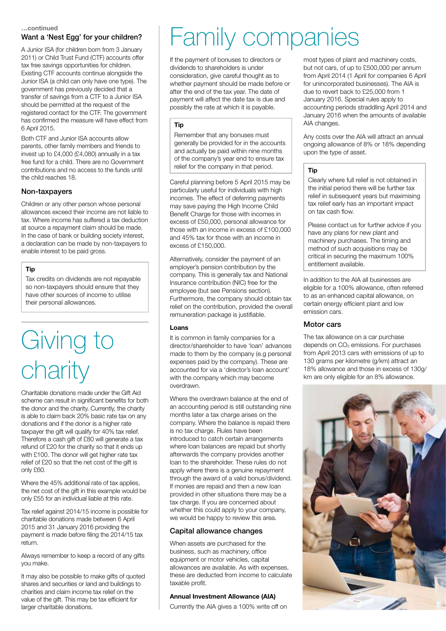### Want a 'Nest Egg' for your children?

A Junior ISA (for children born from 3 January 2011) or Child Trust Fund (CTF) accounts offer tax free savings opportunities for children. Existing CTF accounts continue alongside the Junior ISA (a child can only have one type). The government has previously decided that a transfer of savings from a CTF to a Junior ISA should be permitted at the request of the registered contact for the CTF. The government has confirmed the measure will have effect from 6 April 2015.

Both CTF and Junior ISA accounts allow parents, other family members and friends to invest up to £4,000 (£4,080) annually in a tax free fund for a child. There are no Government contributions and no access to the funds until the child reaches 18.

#### Non-taxpayers

Children or any other person whose personal allowances exceed their income are not liable to tax. Where income has suffered a tax deduction at source a repayment claim should be made. In the case of bank or building society interest, a declaration can be made by non-taxpayers to enable interest to be paid gross.

#### **Tip**

Tax credits on dividends are not repayable so non-taxpayers should ensure that they have other sources of income to utilise their personal allowances.

### Giving to charity

Charitable donations made under the Gift Aid scheme can result in significant benefits for both the donor and the charity. Currently, the charity is able to claim back 20% basic rate tax on any donations and if the donor is a higher rate taxpayer the gift will qualify for 40% tax relief. Therefore a cash gift of £80 will generate a tax refund of £20 for the charity so that it ends up with £100. The donor will get higher rate tax relief of £20 so that the net cost of the gift is only £60.

Where the 45% additional rate of tax applies, the net cost of the gift in this example would be only £55 for an individual liable at this rate.

Tax relief against 2014/15 income is possible for charitable donations made between 6 April 2015 and 31 January 2016 providing the payment is made before filing the 2014/15 tax return.

Always remember to keep a record of any gifts you make.

It may also be possible to make gifts of quoted shares and securities or land and buildings to charities and claim income tax relief on the value of the gift. This may be tax efficient for larger charitable donations.

### <u>wentinued</u><br>Want a 'Nest Egg' for your children?  $\|$  Family companies

If the payment of bonuses to directors or dividends to shareholders is under consideration, give careful thought as to whether payment should be made before or after the end of the tax year. The date of payment will affect the date tax is due and possibly the rate at which it is payable.

#### **Tip**

Remember that any bonuses must generally be provided for in the accounts and actually be paid within nine months of the company's year end to ensure tax relief for the company in that period.

Careful planning before 5 April 2015 may be particularly useful for individuals with high incomes. The effect of deferring payments may save paying the High Income Child Benefit Charge for those with incomes in excess of £50,000, personal allowance for those with an income in excess of £100,000 and 45% tax for those with an income in excess of £150,000.

Alternatively, consider the payment of an employer's pension contribution by the company. This is generally tax and National Insurance contribution (NIC) free for the employee (but see Pensions section). Furthermore, the company should obtain tax relief on the contribution, provided the overall remuneration package is justifiable.

#### **Loans**

It is common in family companies for a director/shareholder to have 'loan' advances made to them by the company (e.g personal expenses paid by the company). These are accounted for via a 'director's loan account' with the company which may become overdrawn.

Where the overdrawn balance at the end of an accounting period is still outstanding nine months later a tax charge arises on the company. Where the balance is repaid there is no tax charge. Rules have been introduced to catch certain arrangements where loan balances are repaid but shortly afterwards the company provides another loan to the shareholder. These rules do not apply where there is a genuine repayment through the award of a valid bonus/dividend. If monies are repaid and then a new loan provided in other situations there may be a tax charge. If you are concerned about whether this could apply to your company, we would be happy to review this area.

#### Capital allowance changes

When assets are purchased for the business, such as machinery, office equipment or motor vehicles, capital allowances are available. As with expenses, these are deducted from income to calculate taxable profit.

#### **Annual Investment Allowance (AIA)**

Currently the AIA gives a 100% write off on

most types of plant and machinery costs, but not cars, of up to £500,000 per annum from April 2014 (1 April for companies 6 April for unincorporated businesses). The AIA is due to revert back to £25,000 from 1 January 2016. Special rules apply to accounting periods straddling April 2014 and January 2016 when the amounts of available AIA changes.

Any costs over the AIA will attract an annual ongoing allowance of 8% or 18% depending upon the type of asset.

#### **Tip**

Clearly where full relief is not obtained in the initial period there will be further tax relief in subsequent years but maximising tax relief early has an important impact on tax cash flow.

Please contact us for further advice if you have any plans for new plant and machinery purchases. The timing and method of such acquisitions may be critical in securing the maximum 100% entitlement available.

In addition to the AIA all businesses are eligible for a 100% allowance, often referred to as an enhanced capital allowance, on certain energy efficient plant and low emission cars.

#### Motor cars

The tax allowance on a car purchase depends on  $CO<sub>2</sub>$  emissions. For purchases from April 2013 cars with emissions of up to 130 grams per kilometre (g/km) attract an 18% allowance and those in excess of 130g/ km are only eligible for an 8% allowance.

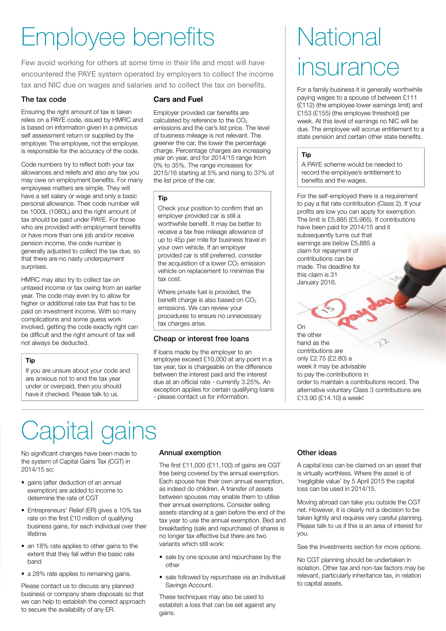### Employee benefits

Few avoid working for others at some time in their life and most will have encountered the PAYE system operated by employers to collect the income tax and NIC due on wages and salaries and to collect the tax on benefits.

#### The tax code

Ensuring the right amount of tax is taken relies on a PAYE code, issued by HMRC and is based on information given in a previous self assessment return or supplied by the employer. The employee, not the employer, is responsible for the accuracy of the code.

Code numbers try to reflect both your tax allowances and reliefs and also any tax you may owe on employment benefits. For many employees matters are simple. They will have a set salary or wage and only a basic personal allowance. Their code number will be 1000L (1060L) and the right amount of tax should be paid under PAYE. For those who are provided with employment benefits or have more than one job and/or receive pension income, the code number is generally adjusted to collect the tax due, so that there are no nasty underpayment surprises.

HMRC may also try to collect tax on untaxed income or tax owing from an earlier year. The code may even try to allow for higher or additional rate tax that has to be paid on investment income. With so many complications and some guess work involved, getting the code exactly right can be difficult and the right amount of tax will not always be deducted.

#### **Tip**

If you are unsure about your code and are anxious not to end the tax year under or overpaid, then you should have it checked. Please talk to us.

#### **Cars and Fuel**

Employer provided car benefits are calculated by reference to the  $CO<sub>2</sub>$ emissions and the car's list price. The level of business mileage is not relevant. The greener the car, the lower the percentage charge. Percentage charges are increasing year on year, and for 2014/15 range from 0% to 35%. The range increases for 2015/16 starting at 5% and rising to 37% of the list price of the car.

#### **Tip**

Check your position to confirm that an employer provided car is still a worthwhile benefit. It may be better to receive a tax free mileage allowance of up to 45p per mile for business travel in your own vehicle. If an employer provided car is still preferred, consider the acquisition of a lower  $CO<sub>2</sub>$  emission vehicle on replacement to minimise the tax cost.

Where private fuel is provided, the benefit charge is also based on  $CO<sub>2</sub>$ emissions. We can review your procedures to ensure no unnecessary tax charges arise.

### Cheap or interest free loans

If loans made by the employer to an employee exceed £10,000 at any point in a tax year, tax is chargeable on the difference between the interest paid and the interest due at an official rate - currently 3.25%. An exception applies for certain qualifying loans - please contact us for information.

### **National** insurance

For a family business it is generally worthwhile paying wages to a spouse of between £111 (£112) (the employee lower earnings limit) and £153 (£155) (the employee threshold) per week. At this level of earnings no NIC will be due. The employee will accrue entitlement to a state pension and certain other state benefits.

#### **Tip**

A PAYE scheme would be needed to record the employee's entitlement to benefits and the wages.

For the self-employed there is a requirement to pay a flat rate contribution (Class 2). If your profits are low you can apply for exemption. The limit is £5,885 (£5,965). If contributions have been paid for 2014/15 and it subsequently turns out that earnings are below £5,885 a claim for repayment of contributions can be made. The deadline for this claim is 31 January 2016.

#### On

the other hand as the contributions are only £2.75 (£2.80) a week it may be advisable to pay the contributions in order to maintain a contributions record. The alternative voluntary Class 3 contributions are £13.90 (£14.10) a week!

## Capital gains

No significant changes have been made to the system of Capital Gains Tax (CGT) in 2014/15 so:

- gains (after deduction of an annual exemption) are added to income to determine the rate of CGT
- Entrepreneurs' Relief (ER) gives a 10% tax rate on the first  $£10$  million of qualifying business gains, for each individual over their lifetime
- an 18% rate applies to other gains to the extent that they fall within the basic rate band
- a 28% rate applies to remaining gains.

Please contact us to discuss any planned business or company share disposals so that we can help to establish the correct approach to secure the availability of any ER.

#### Annual exemption

The first  $£11,000$   $(E11,100)$  of gains are CGT free being covered by the annual exemption. Each spouse has their own annual exemption, as indeed do children. A transfer of assets between spouses may enable them to utilise their annual exemptions. Consider selling assets standing at a gain before the end of the tax year to use the annual exemption. Bed and breakfasting (sale and repurchase) of shares is no longer tax effective but there are two variants which still work:

- sale by one spouse and repurchase by the other
- sale followed by repurchase via an Individual Savings Account.

These techniques may also be used to establish a loss that can be set against any gains.

### Other ideas

A capital loss can be claimed on an asset that is virtually worthless. Where the asset is of 'negligible value' by 5 April 2015 the capital loss can be used in 2014/15.

Moving abroad can take you outside the CGT net. However, it is clearly not a decision to be taken lightly and requires very careful planning. Please talk to us if this is an area of interest for you.

See the Investments section for more options.

No CGT planning should be undertaken in isolation. Other tax and non-tax factors may be relevant, particularly inheritance tax, in relation to capital assets.